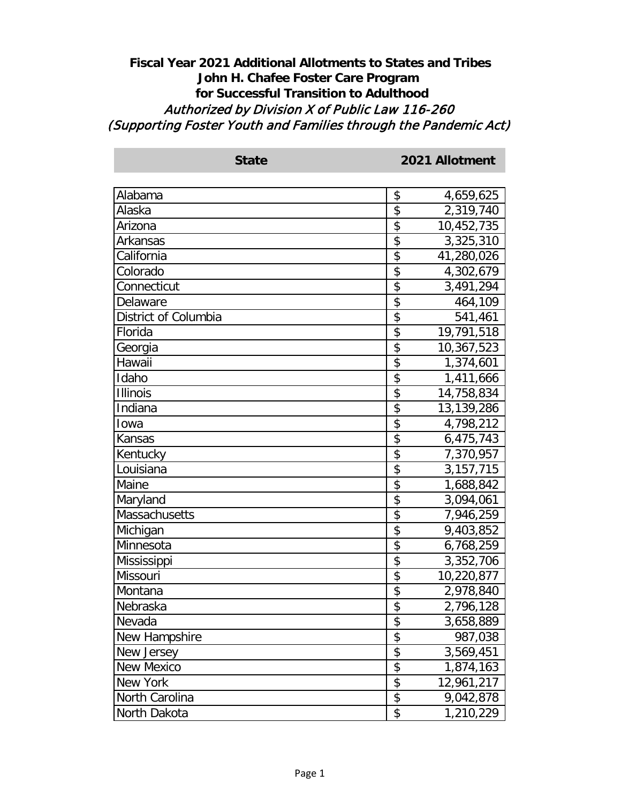## **Fiscal Year 2021 Additional Allotments to States and Tribes John H. Chafee Foster Care Program for Successful Transition to Adulthood** Authorized by Division X of Public Law 116-260 (Supporting Foster Youth and Families through the Pandemic Act)

| Alabama              | \$<br>4,659,625   |
|----------------------|-------------------|
| Alaska               | \$<br>2,319,740   |
| Arizona              | \$<br>10,452,735  |
| Arkansas             | \$<br>3,325,310   |
| California           | \$<br>41,280,026  |
| Colorado             | \$<br>4,302,679   |
| Connecticut          | \$<br>3,491,294   |
| Delaware             | \$<br>464,109     |
| District of Columbia | \$<br>541,461     |
| Florida              | \$<br>19,791,518  |
| Georgia              | \$<br>10,367,523  |
| Hawaii               | \$<br>1,374,601   |
| Idaho                | \$<br>1,411,666   |
| <b>Illinois</b>      | \$<br>14,758,834  |
| Indiana              | \$<br>13,139,286  |
| Iowa                 | \$<br>4,798,212   |
| Kansas               | \$<br>6,475,743   |
| Kentucky             | \$<br>7,370,957   |
| Louisiana            | \$<br>3, 157, 715 |
| Maine                | \$<br>1,688,842   |
| Maryland             | \$<br>3,094,061   |
| Massachusetts        | \$<br>7,946,259   |
| Michigan             | \$<br>9,403,852   |
| Minnesota            | \$<br>6,768,259   |
| Mississippi          | \$<br>3,352,706   |
| Missouri             | \$<br>10,220,877  |
| Montana              | \$<br>2,978,840   |
| Nebraska             | \$<br>2,796,128   |
| Nevada               | \$<br>3,658,889   |
| New Hampshire        | \$<br>987,038     |
| New Jersey           | \$<br>3,569,451   |
| <b>New Mexico</b>    | \$<br>1,874,163   |
| New York             | \$<br>12,961,217  |
| North Carolina       | \$<br>9,042,878   |
| North Dakota         | \$<br>1,210,229   |

**State 2021 Allotment**